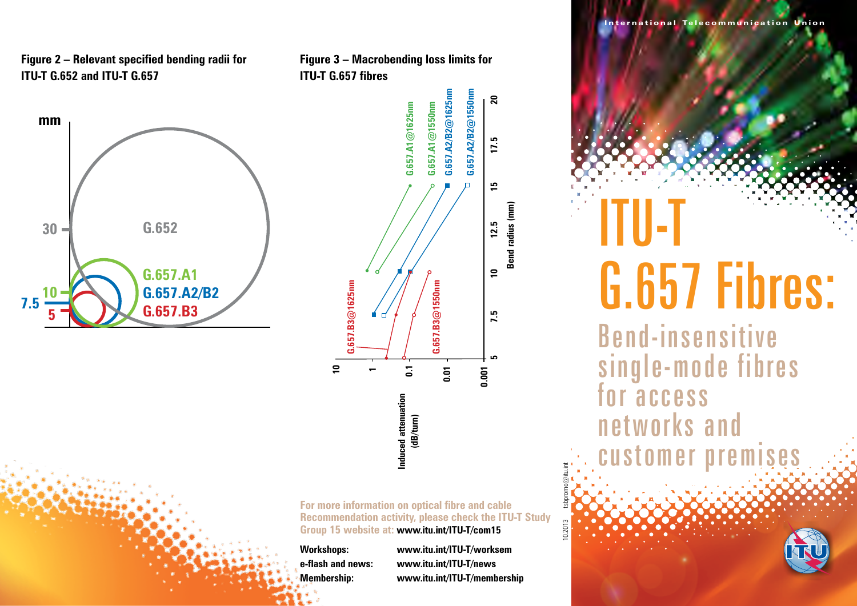#### **Figure 2 – Relevant specified bending radii for ITU-T G.652 and ITU-T G.657**



**Figure 3 – Macrobending loss limits for ITU-T G.657 fibres**

**G.657.A1@1625nm**

 $3.657.A1@1625nm$ 

**G.657.A1@1550nm G.657.A2/B2@1625nm**

 $3.657.A1@1550nm$ 

 $3.657.A2/B2@1625nm$ 

**G.657.A2/B2@1550nm**

 $\mathbf{z}$ 

17.5

15

 $\overline{\phantom{a}}$ 

7.5

 $G.657.A2/B2@1550nm$ 

**For more information on optical fibre and cable Recommendation activity, please check the ITU-T Study Group 15 website at: www.itu.int/ITU-T/com15**

**10**

**G.657.B3@1625nm**

 $G.657. B3@1625nm$ 

**1**

**0.1**

**Induced attenuation (dB/turn)** **0.01**

**G.657.B3@1550nm**

 $G.657. B3@1550nm$ 

**0.001**

**Bend radius (mm) 5 7.5 10 12.5 15 17.5 20**

Bend radius (mm)  $12.5$ 

**Workshops: www.itu.int/ITU-T/worksem e-flash and news: www.itu.int/ITU-T/news Membership: www.itu.int/ITU-T/membership** 10.2013 tsbpromo@itu.int

ITU-T G.657 Fibres:

International Telecommunication Union

The Advanced Video Coding Standard

Bend-insensitive single-mode fibres for access networks and customer premises